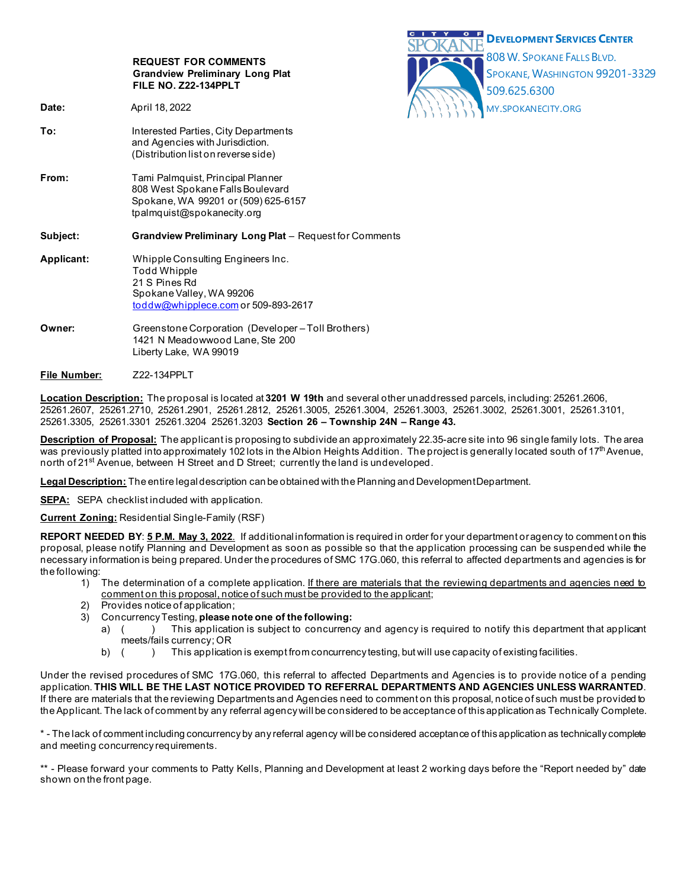|                   | <b>REQUEST FOR COMMENTS</b><br><b>Grandview Preliminary Long Plat</b><br>FILE NO. Z22-134PPLT                                                | C<br><b>DEVELOPMENT SERVICES CENTER</b><br>808 W. SPOKANE FALLS BLVD.<br>SPOKANE, WASHINGTON 99201-3329<br>509.625.6300 |
|-------------------|----------------------------------------------------------------------------------------------------------------------------------------------|-------------------------------------------------------------------------------------------------------------------------|
| Date:             | April 18, 2022                                                                                                                               | MY.SPOKANECITY.ORG                                                                                                      |
| To:               | Interested Parties, City Departments<br>and Agencies with Jurisdiction.<br>(Distribution list on reverse side)                               |                                                                                                                         |
| From:             | Tami Palmquist, Principal Planner<br>808 West Spokane Falls Boulevard<br>Spokane, WA 99201 or (509) 625-6157<br>tpalmquist@spokanecity.org   |                                                                                                                         |
| Subject:          | Grandview Preliminary Long Plat - Request for Comments                                                                                       |                                                                                                                         |
| <b>Applicant:</b> | Whipple Consulting Engineers Inc.<br><b>Todd Whipple</b><br>21 S Pines Rd<br>Spokane Valley, WA 99206<br>toddw@whipplece.com or 509-893-2617 |                                                                                                                         |
| Owner:            | Greenstone Corporation (Developer-Toll Brothers)<br>1421 N Meadowwood Lane, Ste 200<br>Liberty Lake, WA 99019                                |                                                                                                                         |
| File Number:      | Z22-134PPLT                                                                                                                                  |                                                                                                                         |

**Location Description:** The proposal is located at **3201 W 19th** and several other unaddressed parcels, including: 25261.2606, 25261.2607, 25261.2710, 25261.2901, 25261.2812, 25261.3005, 25261.3004, 25261.3003, 25261.3002, 25261.3001, 25261.3101, 25261.3305, 25261.3301 25261.3204 25261.3203 **Section 26 – Township 24N – Range 43.**

**Description of Proposal:** The applicant is proposing to subdivide an approximately 22.35-acre site into 96 single family lots. The area was previously platted into approximately 102 lots in the Albion Heights Addition. The project is generally located south of 17<sup>th</sup> Avenue, north of 21<sup>st</sup> Avenue, between H Street and D Street; currently the land is undeveloped.

**Legal Description:** The entire legal description can be obtained with the Planning and Development Department.

**SEPA:** SEPA checklist included with application.

**Current Zoning:** Residential Single-Family (RSF)

**REPORT NEEDED BY**: **5 P.M. May 3, 2022**. If additional information is required in order for your department or agency to comment on this proposal, please notify Planning and Development as soon as possible so that the application processing can be suspended while the necessary information is being prepared. Under the procedures of SMC 17G.060, this referral to affected departments and agencies is for the following:

- 1) The determination of a complete application. If there are materials that the reviewing departments and agencies need to comment on this proposal, notice of such must be provided to the applicant;
- 2) Provides notice of application;
- 3) Concurrency Testing, **please note one of the following:**
	- a) ( ) This application is subject to concurrency and agency is required to notify this department that applicant meets/fails currency; OR
	- b) ( ) This application is exempt from concurrency testing, but will use capacity of existing facilities.

Under the revised procedures of SMC 17G.060, this referral to affected Departments and Agencies is to provide notice of a pending application. **THIS WILL BE THE LAST NOTICE PROVIDED TO REFERRAL DEPARTMENTS AND AGENCIES UNLESS WARRANTED**. If there are materials that the reviewing Departments and Agencies need to comment on this proposal, notice of such must be provided to the Applicant. The lack of comment by any referral agency will be considered to be acceptance of this application as Technically Complete.

\* - The lack of comment including concurrency by any referral agency will be considered acceptance of this application as technically complete and meeting concurrency requirements.

\*\* - Please forward your comments to Patty Kells, Planning and Development at least 2 working days before the "Report needed by" date shown on the front page.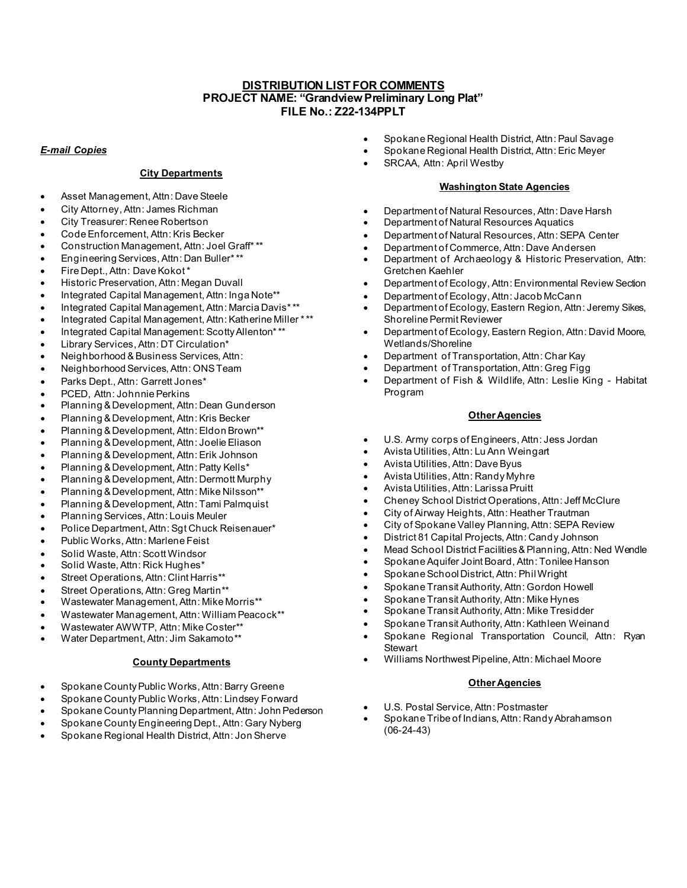# **DISTRIBUTION LIST FOR COMMENTS PROJECT NAME: "Grandview Preliminary Long Plat" FILE No.: Z22-134PPLT**

### *E-mail Copies*

### **City Departments**

- Asset Management, Attn: Dave Steele
- City Attorney, Attn: James Richman
- City Treasurer: Renee Robertson
- Code Enforcement, Attn: Kris Becker
- Construction Management, Attn: Joel Graff\* \*\*
- Engineering Services, Attn: Dan Buller\* \*\*
- Fire Dept., Attn: Dave Kokot \*
- Historic Preservation, Attn: Megan Duvall
- Integrated Capital Management, Attn: Inga Note\*\*
- Integrated Capital Management, Attn: Marcia Davis\* \*\*
- Integrated Capital Management, Attn: Katherine Miller \* \*\*
- Integrated Capital Management: Scotty Allenton\* \*\*
- Library Services, Attn: DT Circulation\*
- Neighborhood & Business Services, Attn:
- Neighborhood Services, Attn: ONS Team
- Parks Dept., Attn: Garrett Jones\*
- PCED, Attn: Johnnie Perkins
- Planning & Development, Attn: Dean Gunderson
- Planning & Development, Attn: Kris Becker
- Planning & Development, Attn: Eldon Brown\*\*
- Planning & Development, Attn: Joelie Eliason
- Planning & Development, Attn: Erik Johnson
- Planning & Development, Attn: Patty Kells\*
- Planning & Development, Attn: Dermott Murphy
- Planning & Development, Attn: Mike Nilsson\*\*
- Planning & Development, Attn: Tami Palmquist
- Planning Services, Attn: Louis Meuler
- Police Department, Attn: Sgt Chuck Reisenauer\*
- Public Works, Attn: Marlene Feist
- Solid Waste, Attn: Scott Windsor
- Solid Waste, Attn: Rick Hughes\*
- Street Operations, Attn: Clint Harris\*\*
- Street Operations, Attn: Greg Martin\*\*
- Wastewater Management, Attn: Mike Morris\*\*
- Wastewater Management, Attn: William Peacock\*\*
- Wastewater AWWTP, Attn: Mike Coster\*\*
- Water Department, Attn: Jim Sakamoto\*\*

# **County Departments**

- Spokane County Public Works, Attn: Barry Greene
- Spokane County Public Works, Attn: Lindsey Forward
- Spokane County Planning Department, Attn: John Pederson
- Spokane County Engineering Dept., Attn: Gary Nyberg
- Spokane Regional Health District, Attn: Jon Sherve
- Spokane Regional Health District, Attn: Paul Savage
- Spokane Regional Health District, Attn: Eric Meyer
- SRCAA, Attn: April Westby

# **Washington State Agencies**

- Department of Natural Resources, Attn: Dave Harsh
- Department of Natural Resources Aquatics
- Department of Natural Resources, Attn: SEPA Center
- Department of Commerce, Attn: Dave Andersen
- Department of Archaeology & Historic Preservation, Attn: Gretchen Kaehler
- Department of Ecology, Attn: Environmental Review Section
- Department of Ecology, Attn: Jacob McCann
- Department of Ecology, Eastern Region, Attn: Jeremy Sikes, Shoreline Permit Reviewer
- Department of Ecology, Eastern Region, Attn: David Moore, Wetlands/Shoreline
- Department of Transportation, Attn: Char Kay
- Department of Transportation, Attn: Greg Figg
- Department of Fish & Wildlife, Attn: Leslie King Habitat Program

### **Other Agencies**

- U.S. Army corps of Engineers, Attn: Jess Jordan
- Avista Utilities, Attn: Lu Ann Weingart
- Avista Utilities, Attn: Dave Byus
- Avista Utilities, Attn: Randy Myhre
- Avista Utilities, Attn: Larissa Pruitt
- Cheney School District Operations, Attn: Jeff McClure
- City of Airway Heights, Attn: Heather Trautman
- City of Spokane Valley Planning, Attn: SEPA Review
- District 81 Capital Projects, Attn: Candy Johnson
- Mead School District Facilities & Planning, Attn: Ned Wendle
- Spokane Aquifer Joint Board, Attn: Tonilee Hanson
- Spokane School District, Attn: Phil Wright
- Spokane Transit Authority, Attn: Gordon Howell
- Spokane Transit Authority, Attn: Mike Hynes
- Spokane Transit Authority, Attn: Mike Tresidder
- Spokane Transit Authority, Attn: Kathleen Weinand
- Spokane Regional Transportation Council, Attn: Ryan **Stewart**
- Williams Northwest Pipeline, Attn: Michael Moore

### **Other Agencies**

- U.S. Postal Service, Attn: Postmaster
- Spokane Tribe of Indians, Attn: Randy Abrahamson (06-24-43)